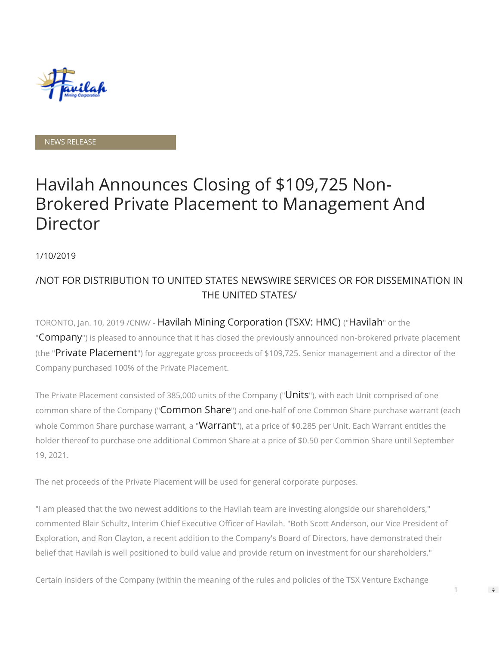

#### NEWS RELEASE

# Havilah Announces Closing of \$109,725 Non-Brokered Private Placement to Management And Director

1/10/2019

## /NOT FOR DISTRIBUTION TO UNITED STATES NEWSWIRE SERVICES OR FOR DISSEMINATION IN THE UNITED STATES/

TORONTO, Jan. 10, 2019 /CNW/ - Havilah Mining Corporation (TSXV: HMC) ("Havilah" or the "Company") is pleased to announce that it has closed the previously announced non-brokered private placement (the "Private Placement") for aggregate gross proceeds of \$109,725. Senior management and a director of the Company purchased 100% of the Private Placement.

The Private Placement consisted of 385,000 units of the Company ("Units"), with each Unit comprised of one common share of the Company ("Common Share") and one-half of one Common Share purchase warrant (each whole Common Share purchase warrant, a "Warrant"), at a price of \$0.285 per Unit. Each Warrant entitles the holder thereof to purchase one additional Common Share at a price of \$0.50 per Common Share until September 19, 2021.

The net proceeds of the Private Placement will be used for general corporate purposes.

"I am pleased that the two newest additions to the Havilah team are investing alongside our shareholders," commented Blair Schultz, Interim Chief Executive Officer of Havilah. "Both Scott Anderson, our Vice President of Exploration, and Ron Clayton, a recent addition to the Company's Board of Directors, have demonstrated their belief that Havilah is well positioned to build value and provide return on investment for our shareholders."

Certain insiders of the Company (within the meaning of the rules and policies of the TSX Venture Exchange

 $\Rightarrow$ 

1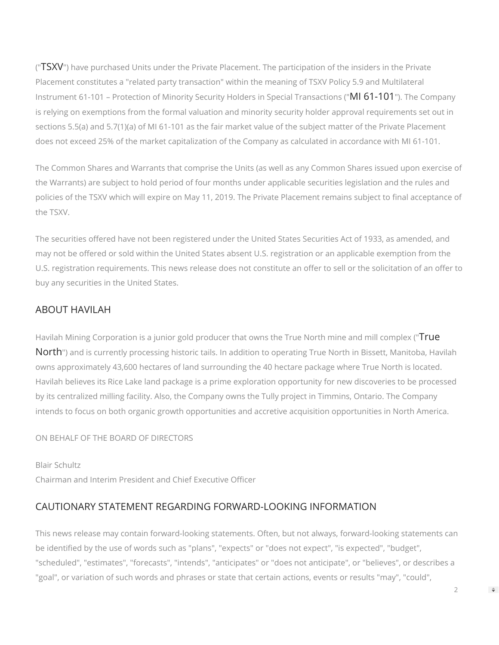("TSXV") have purchased Units under the Private Placement. The participation of the insiders in the Private Placement constitutes a "related party transaction" within the meaning of TSXV Policy 5.9 and Multilateral Instrument 61-101 – Protection of Minority Security Holders in Special Transactions ("MI 61-101"). The Company is relying on exemptions from the formal valuation and minority security holder approval requirements set out in sections 5.5(a) and 5.7(1)(a) of MI 61-101 as the fair market value of the subject matter of the Private Placement does not exceed 25% of the market capitalization of the Company as calculated in accordance with MI 61-101.

The Common Shares and Warrants that comprise the Units (as well as any Common Shares issued upon exercise of the Warrants) are subject to hold period of four months under applicable securities legislation and the rules and policies of the TSXV which will expire on May 11, 2019. The Private Placement remains subject to final acceptance of the TSXV.

The securities offered have not been registered under the United States Securities Act of 1933, as amended, and may not be offered or sold within the United States absent U.S. registration or an applicable exemption from the U.S. registration requirements. This news release does not constitute an offer to sell or the solicitation of an offer to buy any securities in the United States.

## ABOUT HAVILAH

Havilah Mining Corporation is a junior gold producer that owns the True North mine and mill complex ("True North") and is currently processing historic tails. In addition to operating True North in Bissett, Manitoba, Havilah owns approximately 43,600 hectares of land surrounding the 40 hectare package where True North is located. Havilah believes its Rice Lake land package is a prime exploration opportunity for new discoveries to be processed by its centralized milling facility. Also, the Company owns the Tully project in Timmins, Ontario. The Company intends to focus on both organic growth opportunities and accretive acquisition opportunities in North America.

ON BEHALF OF THE BOARD OF DIRECTORS

Blair Schultz Chairman and Interim President and Chief Executive Officer

## CAUTIONARY STATEMENT REGARDING FORWARD-LOOKING INFORMATION

This news release may contain forward-looking statements. Often, but not always, forward-looking statements can be identified by the use of words such as "plans", "expects" or "does not expect", "is expected", "budget", "scheduled", "estimates", "forecasts", "intends", "anticipates" or "does not anticipate", or "believes", or describes a "goal", or variation of such words and phrases or state that certain actions, events or results "may", "could",

 $\mathfrak{D}$ 

 $\Rightarrow$